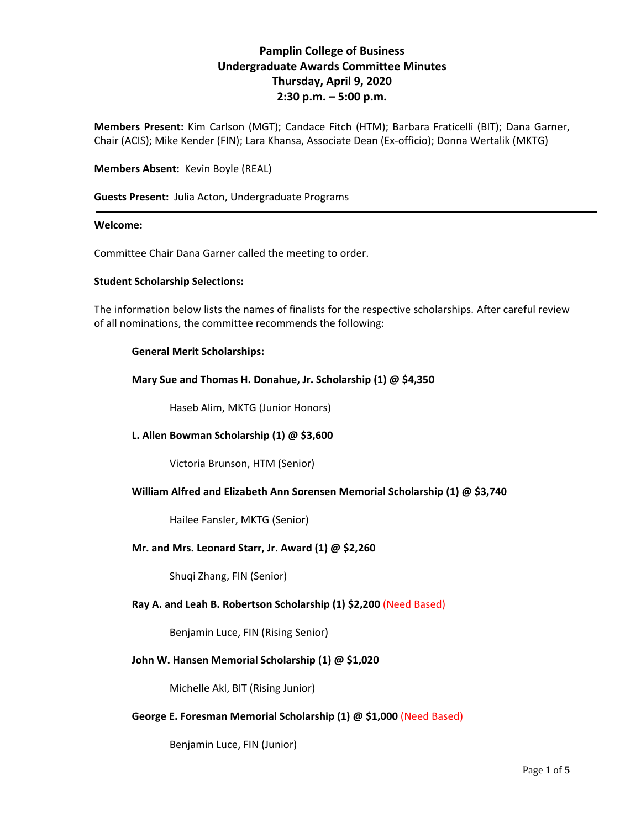# **Pamplin College of Business Undergraduate Awards Committee Minutes Thursday, April 9, 2020 2:30 p.m. – 5:00 p.m.**

**Members Present:** Kim Carlson (MGT); Candace Fitch (HTM); Barbara Fraticelli (BIT); Dana Garner, Chair (ACIS); Mike Kender (FIN); Lara Khansa, Associate Dean (Ex-officio); Donna Wertalik (MKTG)

#### **Members Absent:** Kevin Boyle (REAL)

**Guests Present:** Julia Acton, Undergraduate Programs

#### **Welcome:**

Committee Chair Dana Garner called the meeting to order.

#### **Student Scholarship Selections:**

The information below lists the names of finalists for the respective scholarships. After careful review of all nominations, the committee recommends the following:

## **General Merit Scholarships:**

**Mary Sue and Thomas H. Donahue, Jr. Scholarship (1) @ \$4,350**

Haseb Alim, MKTG (Junior Honors)

## **L. Allen Bowman Scholarship (1) @ \$3,600**

Victoria Brunson, HTM (Senior)

#### **William Alfred and Elizabeth Ann Sorensen Memorial Scholarship (1) @ \$3,740**

Hailee Fansler, MKTG (Senior)

#### **Mr. and Mrs. Leonard Starr, Jr. Award (1) @ \$2,260**

Shuqi Zhang, FIN (Senior)

#### **Ray A. and Leah B. Robertson Scholarship (1) \$2,200** (Need Based)

Benjamin Luce, FIN (Rising Senior)

#### **John W. Hansen Memorial Scholarship (1) @ \$1,020**

Michelle Akl, BIT (Rising Junior)

#### **George E. Foresman Memorial Scholarship (1) @ \$1,000** (Need Based)

Benjamin Luce, FIN (Junior)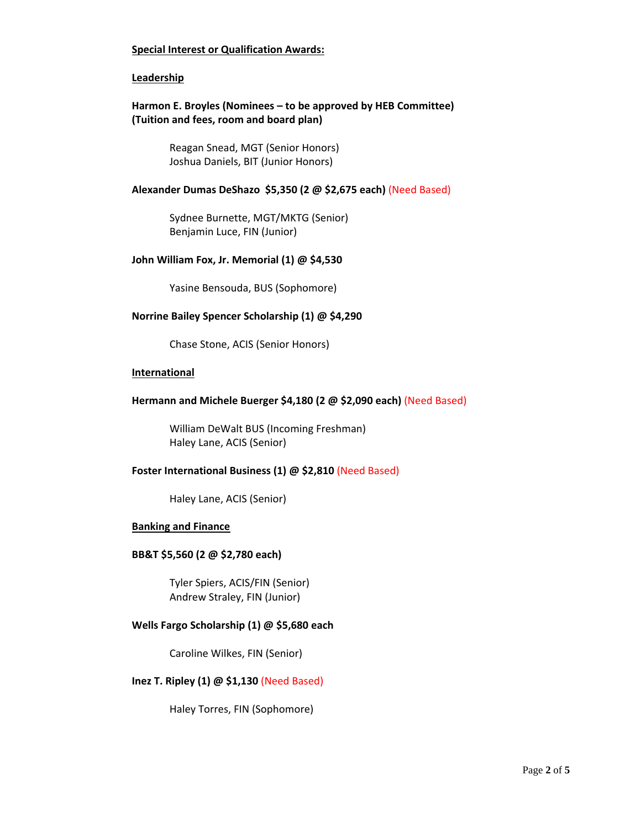## **Special Interest or Qualification Awards:**

#### **Leadership**

## **Harmon E. Broyles (Nominees – to be approved by HEB Committee) (Tuition and fees, room and board plan)**

Reagan Snead, MGT (Senior Honors) Joshua Daniels, BIT (Junior Honors)

#### **Alexander Dumas DeShazo \$5,350 (2 @ \$2,675 each)** (Need Based)

Sydnee Burnette, MGT/MKTG (Senior) Benjamin Luce, FIN (Junior)

#### **John William Fox, Jr. Memorial (1) @ \$4,530**

Yasine Bensouda, BUS (Sophomore)

## **Norrine Bailey Spencer Scholarship (1) @ \$4,290**

Chase Stone, ACIS (Senior Honors)

#### **International**

#### **Hermann and Michele Buerger \$4,180 (2 @ \$2,090 each)** (Need Based)

William DeWalt BUS (Incoming Freshman) Haley Lane, ACIS (Senior)

#### **Foster International Business (1) @ \$2,810** (Need Based)

Haley Lane, ACIS (Senior)

#### **Banking and Finance**

#### **BB&T \$5,560 (2 @ \$2,780 each)**

Tyler Spiers, ACIS/FIN (Senior) Andrew Straley, FIN (Junior)

#### **Wells Fargo Scholarship (1) @ \$5,680 each**

Caroline Wilkes, FIN (Senior)

#### **Inez T. Ripley (1) @ \$1,130** (Need Based)

Haley Torres, FIN (Sophomore)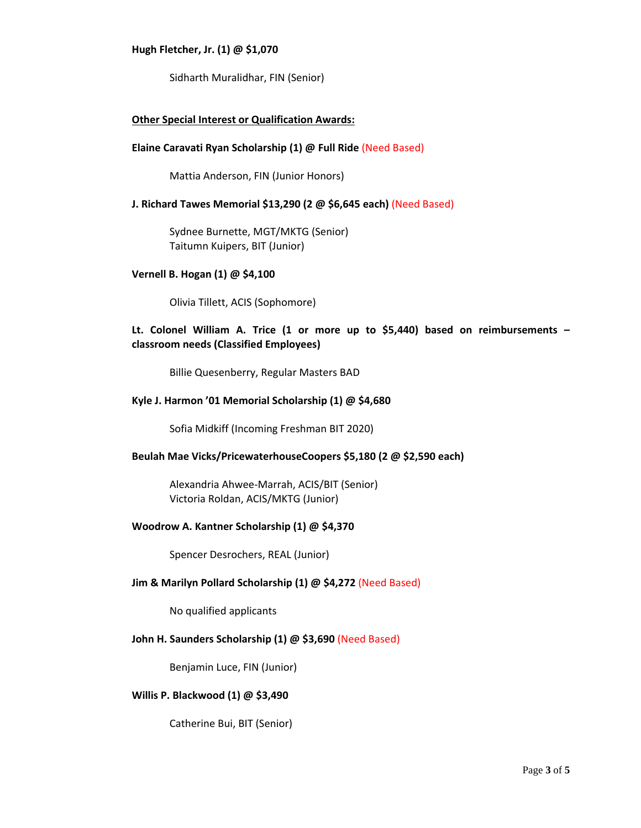#### **Hugh Fletcher, Jr. (1) @ \$1,070**

Sidharth Muralidhar, FIN (Senior)

## **Other Special Interest or Qualification Awards:**

#### **Elaine Caravati Ryan Scholarship (1) @ Full Ride** (Need Based)

Mattia Anderson, FIN (Junior Honors)

## **J. Richard Tawes Memorial \$13,290 (2 @ \$6,645 each)** (Need Based)

Sydnee Burnette, MGT/MKTG (Senior) Taitumn Kuipers, BIT (Junior)

#### **Vernell B. Hogan (1) @ \$4,100**

Olivia Tillett, ACIS (Sophomore)

## **Lt. Colonel William A. Trice (1 or more up to \$5,440) based on reimbursements – classroom needs (Classified Employees)**

Billie Quesenberry, Regular Masters BAD

#### **Kyle J. Harmon '01 Memorial Scholarship (1) @ \$4,680**

Sofia Midkiff (Incoming Freshman BIT 2020)

#### **Beulah Mae Vicks/PricewaterhouseCoopers \$5,180 (2 @ \$2,590 each)**

Alexandria Ahwee-Marrah, ACIS/BIT (Senior) Victoria Roldan, ACIS/MKTG (Junior)

#### **Woodrow A. Kantner Scholarship (1) @ \$4,370**

Spencer Desrochers, REAL (Junior)

#### **Jim & Marilyn Pollard Scholarship (1) @ \$4,272** (Need Based)

No qualified applicants

#### **John H. Saunders Scholarship (1) @ \$3,690** (Need Based)

Benjamin Luce, FIN (Junior)

#### **Willis P. Blackwood (1) @ \$3,490**

Catherine Bui, BIT (Senior)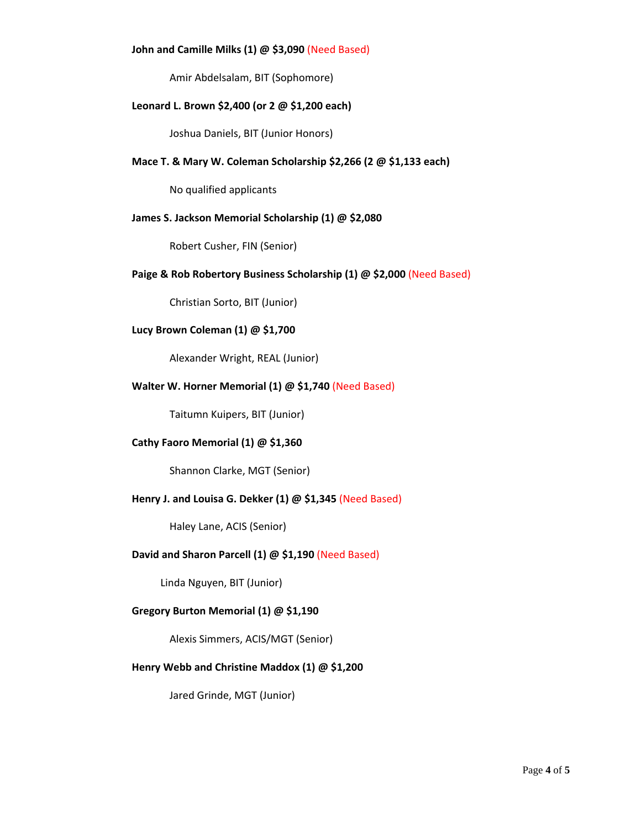## **John and Camille Milks (1) @ \$3,090** (Need Based)

Amir Abdelsalam, BIT (Sophomore)

#### **Leonard L. Brown \$2,400 (or 2 @ \$1,200 each)**

Joshua Daniels, BIT (Junior Honors)

## **Mace T. & Mary W. Coleman Scholarship \$2,266 (2 @ \$1,133 each)**

No qualified applicants

## **James S. Jackson Memorial Scholarship (1) @ \$2,080**

Robert Cusher, FIN (Senior)

#### **Paige & Rob Robertory Business Scholarship (1) @ \$2,000** (Need Based)

Christian Sorto, BIT (Junior)

## **Lucy Brown Coleman (1) @ \$1,700**

Alexander Wright, REAL (Junior)

## **Walter W. Horner Memorial (1) @ \$1,740** (Need Based)

Taitumn Kuipers, BIT (Junior)

## **Cathy Faoro Memorial (1) @ \$1,360**

Shannon Clarke, MGT (Senior)

#### **Henry J. and Louisa G. Dekker (1) @ \$1,345** (Need Based)

Haley Lane, ACIS (Senior)

## **David and Sharon Parcell (1) @ \$1,190** (Need Based)

Linda Nguyen, BIT (Junior)

## **Gregory Burton Memorial (1) @ \$1,190**

Alexis Simmers, ACIS/MGT (Senior)

## **Henry Webb and Christine Maddox (1) @ \$1,200**

Jared Grinde, MGT (Junior)